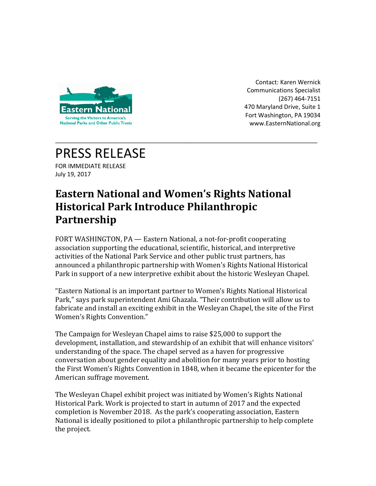

Contact: Karen Wernick Communications Specialist (267) 464-7151 470 Maryland Drive, Suite 1 Fort Washington, PA 19034 www.EasternNational.org

## PRESS RELEASE

FOR IMMEDIATE RELEASE July 19, 2017

## **Eastern National and Women's Rights National Historical Park Introduce Philanthropic Partnership**

\_\_\_\_\_\_\_\_\_\_\_\_\_\_\_\_\_\_\_\_\_\_\_\_\_\_\_\_\_\_\_\_\_\_\_\_\_\_\_\_\_\_\_\_\_\_\_\_\_\_\_\_\_\_\_\_\_\_\_\_\_\_\_\_\_\_\_\_\_\_\_\_\_\_\_\_\_\_

FORT WASHINGTON, PA — Eastern National, a not-for-profit cooperating association supporting the educational, scientific, historical, and interpretive activities of the National Park Service and other public trust partners, has announced a philanthropic partnership with Women's Rights National Historical Park in support of a new interpretive exhibit about the historic Wesleyan Chapel.

"Eastern National is an important partner to Women's Rights National Historical Park," says park superintendent Ami Ghazala. "Their contribution will allow us to fabricate and install an exciting exhibit in the Wesleyan Chapel, the site of the First Women's Rights Convention."

The Campaign for Wesleyan Chapel aims to raise \$25,000 to support the development, installation, and stewardship of an exhibit that will enhance visitors' understanding of the space. The chapel served as a haven for progressive conversation about gender equality and abolition for many years prior to hosting the First Women's Rights Convention in 1848, when it became the epicenter for the American suffrage movement.

The Wesleyan Chapel exhibit project was initiated by Women's Rights National Historical Park. Work is projected to start in autumn of 2017 and the expected completion is November 2018. As the park's cooperating association, Eastern National is ideally positioned to pilot a philanthropic partnership to help complete the project.